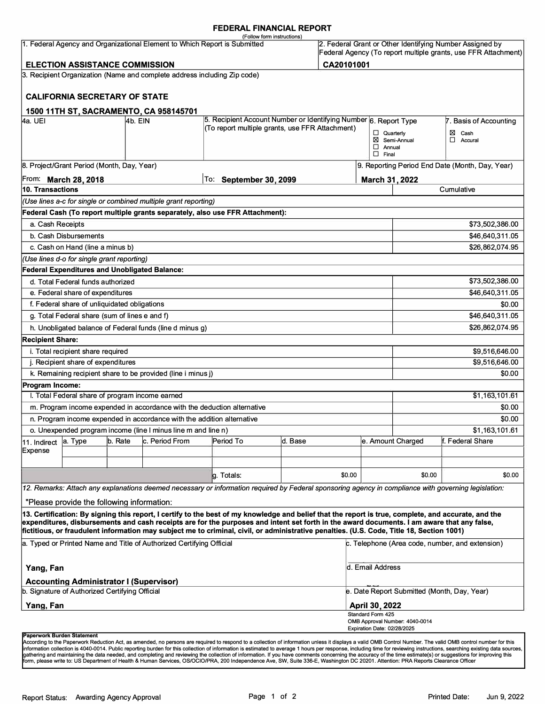## **FEDERAL FINANCIAL REPORT**

|                         |                                                                                                  |         |                                                                           | (Follow form instructions)                                                                                                                                                                                                                                                                                                                                                                                                                      |         |            |                               |                                             |                                                                                                                            |
|-------------------------|--------------------------------------------------------------------------------------------------|---------|---------------------------------------------------------------------------|-------------------------------------------------------------------------------------------------------------------------------------------------------------------------------------------------------------------------------------------------------------------------------------------------------------------------------------------------------------------------------------------------------------------------------------------------|---------|------------|-------------------------------|---------------------------------------------|----------------------------------------------------------------------------------------------------------------------------|
|                         |                                                                                                  |         | 1. Federal Agency and Organizational Element to Which Report is Submitted |                                                                                                                                                                                                                                                                                                                                                                                                                                                 |         |            |                               |                                             | 2. Federal Grant or Other Identifying Number Assigned by<br>Federal Agency (To report multiple grants, use FFR Attachment) |
|                         | <b>ELECTION ASSISTANCE COMMISSION</b>                                                            |         |                                                                           |                                                                                                                                                                                                                                                                                                                                                                                                                                                 |         | CA20101001 |                               |                                             |                                                                                                                            |
|                         | <b>CALIFORNIA SECRETARY OF STATE</b>                                                             |         | 3. Recipient Organization (Name and complete address including Zip code)  |                                                                                                                                                                                                                                                                                                                                                                                                                                                 |         |            |                               |                                             |                                                                                                                            |
|                         |                                                                                                  |         | 1500 11TH ST, SACRAMENTO, CA 958145701                                    |                                                                                                                                                                                                                                                                                                                                                                                                                                                 |         |            |                               |                                             |                                                                                                                            |
| 4a. UEI                 |                                                                                                  | 4b. EIN |                                                                           | 5. Recipient Account Number or Identifying Number 6. Report Type                                                                                                                                                                                                                                                                                                                                                                                |         |            |                               |                                             | 7. Basis of Accounting                                                                                                     |
|                         |                                                                                                  |         |                                                                           | (To report multiple grants, use FFR Attachment)                                                                                                                                                                                                                                                                                                                                                                                                 |         |            | $\Box$ Quarterly              |                                             | ⊠ Cash                                                                                                                     |
|                         |                                                                                                  |         |                                                                           |                                                                                                                                                                                                                                                                                                                                                                                                                                                 |         |            |                               | Semi-Annual                                 | $\Box$ Accural                                                                                                             |
|                         |                                                                                                  |         |                                                                           |                                                                                                                                                                                                                                                                                                                                                                                                                                                 |         |            | $\Box$ Annual<br>$\Box$ Final |                                             |                                                                                                                            |
|                         | 8. Project/Grant Period (Month, Day, Year)                                                       |         |                                                                           |                                                                                                                                                                                                                                                                                                                                                                                                                                                 |         |            |                               |                                             | 9. Reporting Period End Date (Month, Day, Year)                                                                            |
|                         | From: March 28, 2018                                                                             |         |                                                                           | To: September 30, 2099                                                                                                                                                                                                                                                                                                                                                                                                                          |         |            | March 31, 2022                |                                             |                                                                                                                            |
| 10. Transactions        |                                                                                                  |         |                                                                           |                                                                                                                                                                                                                                                                                                                                                                                                                                                 |         |            |                               |                                             | Cumulative                                                                                                                 |
|                         |                                                                                                  |         | (Use lines a-c for single or combined multiple grant reporting)           |                                                                                                                                                                                                                                                                                                                                                                                                                                                 |         |            |                               |                                             |                                                                                                                            |
|                         |                                                                                                  |         |                                                                           | Federal Cash (To report multiple grants separately, also use FFR Attachment):                                                                                                                                                                                                                                                                                                                                                                   |         |            |                               |                                             |                                                                                                                            |
| a. Cash Receipts        |                                                                                                  |         |                                                                           |                                                                                                                                                                                                                                                                                                                                                                                                                                                 |         |            |                               |                                             | \$73,502,386.00                                                                                                            |
|                         | b. Cash Disbursements                                                                            |         |                                                                           |                                                                                                                                                                                                                                                                                                                                                                                                                                                 |         |            |                               |                                             | \$46,640,311.05                                                                                                            |
|                         | c. Cash on Hand (line a minus b)                                                                 |         |                                                                           |                                                                                                                                                                                                                                                                                                                                                                                                                                                 |         |            |                               |                                             | \$26,862,074.95                                                                                                            |
|                         | (Use lines d-o for single grant reporting)                                                       |         |                                                                           |                                                                                                                                                                                                                                                                                                                                                                                                                                                 |         |            |                               |                                             |                                                                                                                            |
|                         |                                                                                                  |         | <b>Federal Expenditures and Unobligated Balance:</b>                      |                                                                                                                                                                                                                                                                                                                                                                                                                                                 |         |            |                               |                                             |                                                                                                                            |
|                         | d. Total Federal funds authorized                                                                |         |                                                                           |                                                                                                                                                                                                                                                                                                                                                                                                                                                 |         |            |                               |                                             | \$73,502,386.00                                                                                                            |
|                         | e. Federal share of expenditures                                                                 |         |                                                                           |                                                                                                                                                                                                                                                                                                                                                                                                                                                 |         |            |                               |                                             | \$46,640,311.05                                                                                                            |
|                         | f. Federal share of unliquidated obligations                                                     |         |                                                                           |                                                                                                                                                                                                                                                                                                                                                                                                                                                 |         |            |                               |                                             | \$0.00                                                                                                                     |
|                         | g. Total Federal share (sum of lines e and f)                                                    |         |                                                                           |                                                                                                                                                                                                                                                                                                                                                                                                                                                 |         |            |                               |                                             | \$46,640,311.05                                                                                                            |
|                         |                                                                                                  |         | h. Unobligated balance of Federal funds (line d minus g)                  |                                                                                                                                                                                                                                                                                                                                                                                                                                                 |         |            |                               |                                             | \$26,862,074.95                                                                                                            |
| <b>Recipient Share:</b> |                                                                                                  |         |                                                                           |                                                                                                                                                                                                                                                                                                                                                                                                                                                 |         |            |                               |                                             |                                                                                                                            |
|                         | i. Total recipient share required                                                                |         |                                                                           |                                                                                                                                                                                                                                                                                                                                                                                                                                                 |         |            |                               |                                             | \$9,516,646.00                                                                                                             |
|                         | j. Recipient share of expenditures                                                               |         |                                                                           |                                                                                                                                                                                                                                                                                                                                                                                                                                                 |         |            |                               |                                             | \$9,516,646.00                                                                                                             |
|                         |                                                                                                  |         | k. Remaining recipient share to be provided (line i minus j)              |                                                                                                                                                                                                                                                                                                                                                                                                                                                 |         |            |                               |                                             | \$0.00                                                                                                                     |
| <b>Program Income:</b>  |                                                                                                  |         |                                                                           |                                                                                                                                                                                                                                                                                                                                                                                                                                                 |         |            |                               |                                             |                                                                                                                            |
|                         |                                                                                                  |         | I. Total Federal share of program income earned                           |                                                                                                                                                                                                                                                                                                                                                                                                                                                 |         |            |                               |                                             | \$1,163,101.61                                                                                                             |
|                         |                                                                                                  |         | m. Program income expended in accordance with the deduction alternative   |                                                                                                                                                                                                                                                                                                                                                                                                                                                 |         |            |                               |                                             | \$0.00                                                                                                                     |
|                         |                                                                                                  |         | n. Program income expended in accordance with the addition alternative    |                                                                                                                                                                                                                                                                                                                                                                                                                                                 |         |            |                               |                                             | \$0.00                                                                                                                     |
|                         |                                                                                                  |         | o. Unexpended program income (line I minus line m and line n)             |                                                                                                                                                                                                                                                                                                                                                                                                                                                 |         |            |                               |                                             | \$1,163,101.61                                                                                                             |
| 11. Indirect            | a. Type                                                                                          | b. Rate | c. Period From                                                            | Period To                                                                                                                                                                                                                                                                                                                                                                                                                                       | d. Base |            |                               | e. Amount Charged                           | f. Federal Share                                                                                                           |
| Expense                 |                                                                                                  |         |                                                                           |                                                                                                                                                                                                                                                                                                                                                                                                                                                 |         |            |                               |                                             |                                                                                                                            |
|                         |                                                                                                  |         |                                                                           | g. Totals:                                                                                                                                                                                                                                                                                                                                                                                                                                      |         | \$0.00     |                               | \$0.00                                      | \$0.00                                                                                                                     |
|                         |                                                                                                  |         |                                                                           | 12. Remarks: Attach any explanations deemed necessary or information required by Federal sponsoring agency in compliance with governing legislation:                                                                                                                                                                                                                                                                                            |         |            |                               |                                             |                                                                                                                            |
|                         |                                                                                                  |         |                                                                           |                                                                                                                                                                                                                                                                                                                                                                                                                                                 |         |            |                               |                                             |                                                                                                                            |
|                         | "Please provide the following information:                                                       |         |                                                                           |                                                                                                                                                                                                                                                                                                                                                                                                                                                 |         |            |                               |                                             |                                                                                                                            |
|                         |                                                                                                  |         |                                                                           | 13. Certification: By signing this report, I certify to the best of my knowledge and belief that the report is true, complete, and accurate, and the<br>expenditures, disbursements and cash receipts are for the purposes and intent set forth in the award documents. I am aware that any false,<br>fictitious, or fraudulent information may subject me to criminal, civil, or administrative penalties. (U.S. Code, Title 18, Section 1001) |         |            |                               |                                             |                                                                                                                            |
|                         |                                                                                                  |         | a. Typed or Printed Name and Title of Authorized Certifying Official      |                                                                                                                                                                                                                                                                                                                                                                                                                                                 |         |            |                               |                                             | c. Telephone (Area code, number, and extension)                                                                            |
| Yang, Fan               |                                                                                                  |         |                                                                           |                                                                                                                                                                                                                                                                                                                                                                                                                                                 |         |            | d. Email Address              |                                             |                                                                                                                            |
|                         | <b>Accounting Administrator I (Supervisor)</b><br>b. Signature of Authorized Certifying Official |         |                                                                           |                                                                                                                                                                                                                                                                                                                                                                                                                                                 |         |            |                               | e. Date Report Submitted (Month, Day, Year) |                                                                                                                            |
| Yang, Fan               |                                                                                                  |         |                                                                           |                                                                                                                                                                                                                                                                                                                                                                                                                                                 |         |            | <b>April 30, 2022</b>         |                                             |                                                                                                                            |
|                         |                                                                                                  |         |                                                                           |                                                                                                                                                                                                                                                                                                                                                                                                                                                 |         |            | Standard Form 425             |                                             |                                                                                                                            |
|                         |                                                                                                  |         |                                                                           |                                                                                                                                                                                                                                                                                                                                                                                                                                                 |         |            | Expiration Date: 02/28/2025   | OMB Approval Number: 4040-0014              |                                                                                                                            |
|                         |                                                                                                  |         |                                                                           |                                                                                                                                                                                                                                                                                                                                                                                                                                                 |         |            |                               |                                             |                                                                                                                            |

#### **Paperwork Burden Statement**

According to the Paperwork Reduction Act, as amended, no persons are required to respond to a collection of information unless it displays a valid OMB Control Number. The valid OMB control number for this<br>information colle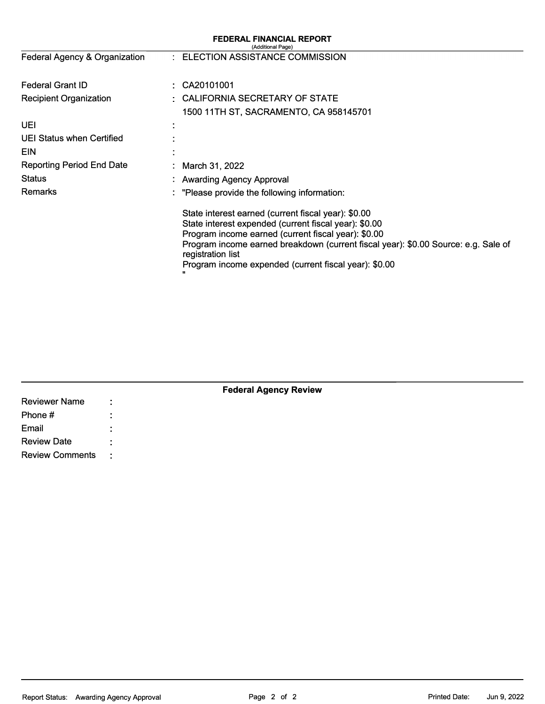| <b>FEDERAL FINANCIAL REPORT</b><br>(Additional Page)                                                                                                                                                                                                                                                                                    |  |  |  |
|-----------------------------------------------------------------------------------------------------------------------------------------------------------------------------------------------------------------------------------------------------------------------------------------------------------------------------------------|--|--|--|
| : ELECTION ASSISTANCE COMMISSION                                                                                                                                                                                                                                                                                                        |  |  |  |
| CA20101001                                                                                                                                                                                                                                                                                                                              |  |  |  |
| CALIFORNIA SECRETARY OF STATE                                                                                                                                                                                                                                                                                                           |  |  |  |
| 1500 11TH ST, SACRAMENTO, CA 958145701                                                                                                                                                                                                                                                                                                  |  |  |  |
|                                                                                                                                                                                                                                                                                                                                         |  |  |  |
|                                                                                                                                                                                                                                                                                                                                         |  |  |  |
|                                                                                                                                                                                                                                                                                                                                         |  |  |  |
| : March 31, 2022                                                                                                                                                                                                                                                                                                                        |  |  |  |
| : Awarding Agency Approval                                                                                                                                                                                                                                                                                                              |  |  |  |
| : "Please provide the following information:                                                                                                                                                                                                                                                                                            |  |  |  |
| State interest earned (current fiscal year): \$0.00<br>State interest expended (current fiscal year): \$0.00<br>Program income earned (current fiscal year): \$0.00<br>Program income earned breakdown (current fiscal year): \$0.00 Source: e.g. Sale of<br>registration list<br>Program income expended (current fiscal year): \$0.00 |  |  |  |
|                                                                                                                                                                                                                                                                                                                                         |  |  |  |

|                        |      | <b>Federal Agency Review</b> |  |
|------------------------|------|------------------------------|--|
| <b>Reviewer Name</b>   | ÷    |                              |  |
| Phone #                |      |                              |  |
| Email                  |      |                              |  |
| <b>Review Date</b>     |      |                              |  |
| <b>Review Comments</b> | - 11 |                              |  |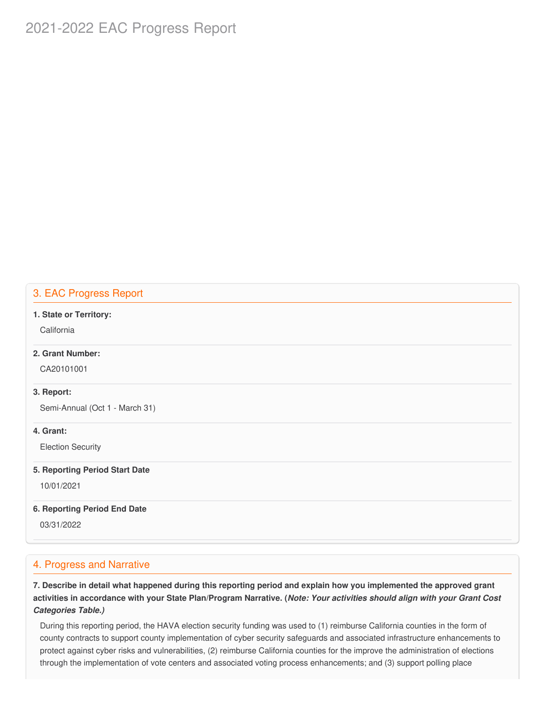# 2021-2022 EAC Progress Report

# 3. EAC Progress Report

#### **1. State or Territory:**

**California** 

# **2. Grant Number:**

CA20101001

## **3. Report:**

Semi-Annual (Oct 1 - March 31)

## **4. Grant:**

Election Security

#### **5. Reporting Period Start Date**

10/01/2021

#### **6. Reporting Period End Date**

03/31/2022

# 4. Progress and Narrative

7. Describe in detail what happened during this reporting period and explain how you implemented the approved grant activities in accordance with your State Plan/Program Narrative. (*Note: Your activities should align with your Grant Cost Categories Table.)*

 During this reporting period, the HAVA election security funding was used to (1) reimburse California counties in the form of county contracts to support county implementation of cyber security safeguards and associated infrastructure enhancements to protect against cyber risks and vulnerabilities, (2) reimburse California counties for the improve the administration of elections through the implementation of vote centers and associated voting process enhancements; and (3) support polling place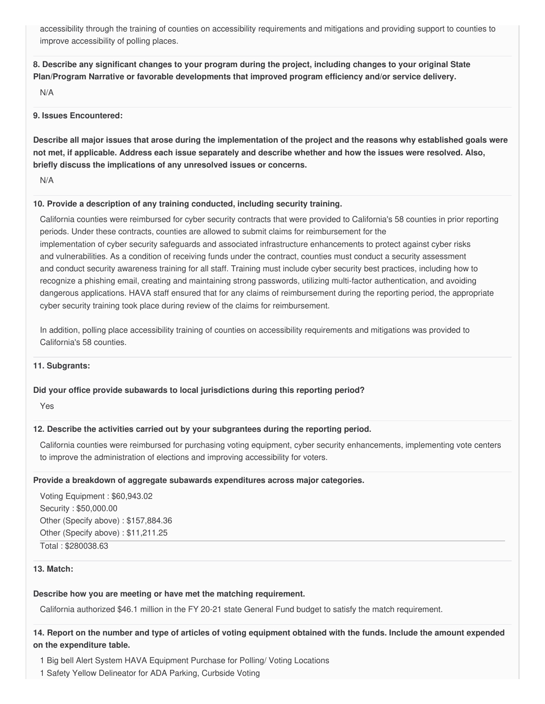accessibility through the training of counties on accessibility requirements and mitigations and providing support to counties to improve accessibility of polling places.

8. Describe any significant changes to your program during the project, including changes to your original State  **Plan/Program Narrative or favorable developments that improved program efficiency and/or service delivery.**

N/A

#### **9. Issues Encountered:**

Describe all major issues that arose during the implementation of the project and the reasons why established goals were not met, if applicable. Address each issue separately and describe whether and how the issues were resolved. Also,  **briefly discuss the implications of any unresolved issues or concerns.**

N/A

#### **10. Provide a description of any training conducted, including security training.**

 California counties were reimbursed for cyber security contracts that were provided to California's 58 counties in prior reporting periods. Under these contracts, counties are allowed to submit claims for reimbursement for the implementation of cyber security safeguards and associated infrastructure enhancements to protect against cyber risks and vulnerabilities. As a condition of receiving funds under the contract, counties must conduct a security assessment and conduct security awareness training for all staff. Training must include cyber security best practices, including how to recognize a phishing email, creating and maintaining strong passwords, utilizing multi-factor authentication, and avoiding dangerous applications. HAVA staff ensured that for any claims of reimbursement during the reporting period, the appropriate cyber security training took place during review of the claims for reimbursement.

 In addition, polling place accessibility training of counties on accessibility requirements and mitigations was provided to California's 58 counties.

## **11. Subgrants:**

## **Did your office provide subawards to local jurisdictions during this reporting period?**

Yes

## **12. Describe the activities carried out by your subgrantees during the reporting period.**

 California counties were reimbursed for purchasing voting equipment, cyber security enhancements, implementing vote centers to improve the administration of elections and improving accessibility for voters.

#### **Provide a breakdown of aggregate subawards expenditures across major categories.**

 Voting Equipment : [\\$60,943.02](https://60,943.02) Security : \$[50,000.00](https://50,000.00) Other (Specify above) : [\\$157,884.36](https://157,884.36) Other (Specify above) : [\\$11,211.25](https://11,211.25) Total : [\\$280038.63](https://280038.63)

#### **13. Match:**

#### **Describe how you are meeting or have met the matching requirement.**

California authorized \$46.1 million in the FY 20-21 state General Fund budget to satisfy the match requirement.

14. Report on the number and type of articles of voting equipment obtained with the funds. Include the amount expended  **on the expenditure table.**

- 1 Big bell Alert System HAVA Equipment Purchase for Polling/ Voting Locations
- 1 Safety Yellow Delineator for ADA Parking, Curbside Voting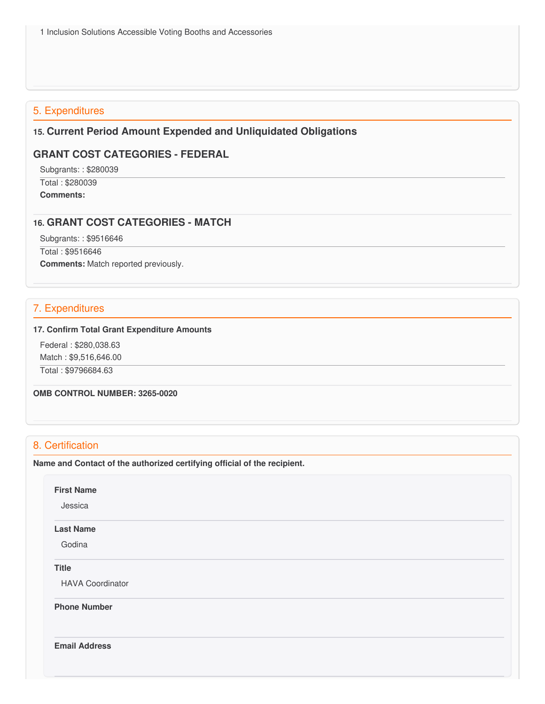# 5. Expenditures

# **15. Current Period Amount Expended and Unliquidated Obligations**

# **GRANT COST CATEGORIES - FEDERAL**

Subgrants: : \$280039

 Total : \$280039 **Comments:**

## **16. GRANT COST CATEGORIES - MATCH**

Subgrants: : \$9516646

Total : \$9516646

**Comments:** Match reported previously.

# 7. Expenditures

#### **17. Confirm Total Grant Expenditure Amounts**

 Federal : \$[280,038.63](https://280,038.63) Match : \$[9,516,646.00](https://9,516,646.00)

Total : [\\$9796684.63](https://9796684.63)

 **OMB CONTROL NUMBER: 3265-0020**

# 8. Certification

 **Name and Contact of the authorized certifying official of the recipient.**

**First Name**

Jessica

# **Last Name**

Godina

**Title**

HAVA Coordinator

**Phone Number** 

**Email Address**